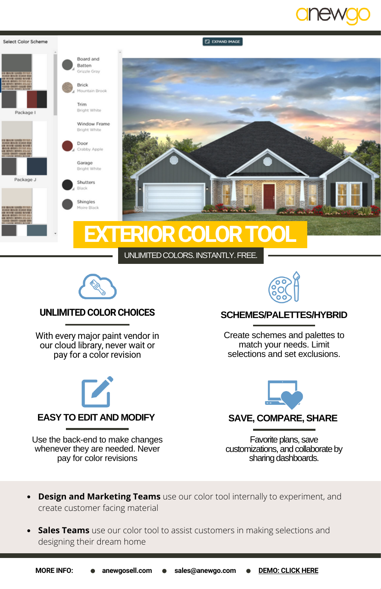







**SCHEMES/PALETTES/HYBRID**

Create schemes and palettes to match your needs. Limit selections and set exclusions.

# **UNLIMITEDCOLORCHOICES**

With every major paint vendor in our cloud library, never wait or pay for a color revision



Use the back-end to make changes whenever they are needed. Never pay for color revisions



**SAVE, COMPARE, SHARE**

Favorite plans, save customizations, and collaborate by sharing dashboards.

- **Design and Marketing Teams** use our color tool internally to experiment, and create customer facing material
- **Sales Teams** use our color tool to assist customers in making selections and designing their dream home